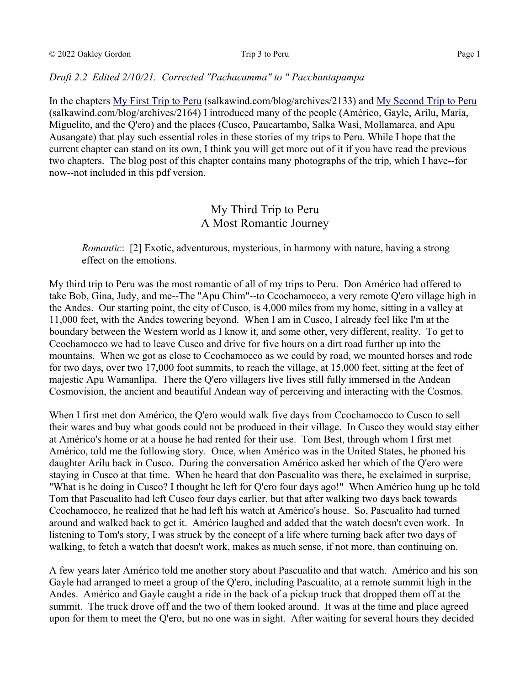## *Draft 2.2 Edited 2/10/21. Corrected "Pachacamma" to " Pacchantapampa*

In the chapters [My First Trip to Peru](https://salkawind.com/blog/archives/2133) (salkawind.com/blog/archives/2133) and [My Second Trip to Peru](https://salkawind.com/blog/archives/2164) (salkawind.com/blog/archives/2164) I introduced many of the people (Américo, Gayle, Arilu, Maria, Miguelito, and the Q'ero) and the places (Cusco, Paucartambo, Salka Wasi, Mollamarca, and Apu Ausangate) that play such essential roles in these stories of my trips to Peru. While I hope that the current chapter can stand on its own, I think you will get more out of it if you have read the previous two chapters. The blog post of this chapter contains many photographs of the trip, which I have--for now--not included in this pdf version.

# My Third Trip to Peru A Most Romantic Journey

*Romantic*: [2] Exotic, adventurous, mysterious, in harmony with nature, having a strong effect on the emotions.

My third trip to Peru was the most romantic of all of my trips to Peru. Don Américo had offered to take Bob, Gina, Judy, and me--The "Apu Chim"--to Ccochamocco, a very remote Q'ero village high in the Andes. Our starting point, the city of Cusco, is 4,000 miles from my home, sitting in a valley at 11,000 feet, with the Andes towering beyond. When I am in Cusco, I already feel like I'm at the boundary between the Western world as I know it, and some other, very different, reality. To get to Ccochamocco we had to leave Cusco and drive for five hours on a dirt road further up into the mountains. When we got as close to Ccochamocco as we could by road, we mounted horses and rode for two days, over two 17,000 foot summits, to reach the village, at 15,000 feet, sitting at the feet of majestic Apu Wamanlipa. There the Q'ero villagers live lives still fully immersed in the Andean Cosmovision, the ancient and beautiful Andean way of perceiving and interacting with the Cosmos.

When I first met don Américo, the Q'ero would walk five days from Ccochamocco to Cusco to sell their wares and buy what goods could not be produced in their village. In Cusco they would stay either at Américo's home or at a house he had rented for their use. Tom Best, through whom I first met Américo, told me the following story. Once, when Américo was in the United States, he phoned his daughter Arilu back in Cusco. During the conversation Américo asked her which of the Q'ero were staying in Cusco at that time. When he heard that don Pascualito was there, he exclaimed in surprise, "What is he doing in Cusco? I thought he left for Q'ero four days ago!" When Américo hung up he told Tom that Pascualito had left Cusco four days earlier, but that after walking two days back towards Ccochamocco, he realized that he had left his watch at Américo's house. So, Pascualito had turned around and walked back to get it. Américo laughed and added that the watch doesn't even work. In listening to Tom's story, I was struck by the concept of a life where turning back after two days of walking, to fetch a watch that doesn't work, makes as much sense, if not more, than continuing on.

A few years later Américo told me another story about Pascualito and that watch. Américo and his son Gayle had arranged to meet a group of the Q'ero, including Pascualito, at a remote summit high in the Andes. Américo and Gayle caught a ride in the back of a pickup truck that dropped them off at the summit. The truck drove off and the two of them looked around. It was at the time and place agreed upon for them to meet the Q'ero, but no one was in sight. After waiting for several hours they decided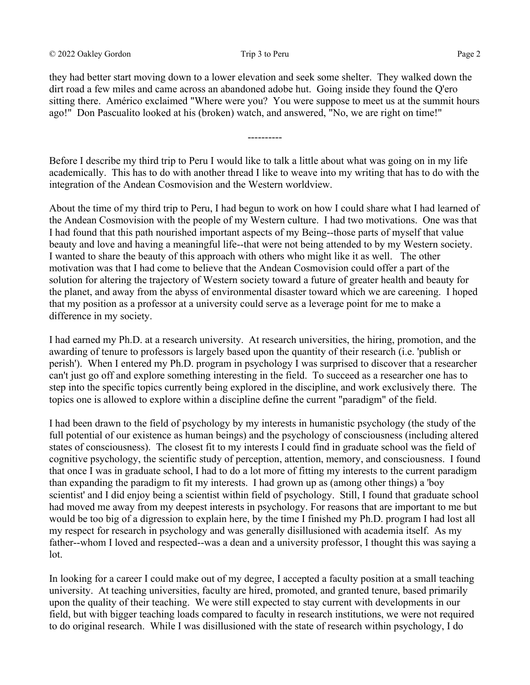they had better start moving down to a lower elevation and seek some shelter. They walked down the dirt road a few miles and came across an abandoned adobe hut. Going inside they found the Q'ero sitting there. Américo exclaimed "Where were you? You were suppose to meet us at the summit hours ago!" Don Pascualito looked at his (broken) watch, and answered, "No, we are right on time!"

Before I describe my third trip to Peru I would like to talk a little about what was going on in my life academically. This has to do with another thread I like to weave into my writing that has to do with the integration of the Andean Cosmovision and the Western worldview.

----------

About the time of my third trip to Peru, I had begun to work on how I could share what I had learned of the Andean Cosmovision with the people of my Western culture. I had two motivations. One was that I had found that this path nourished important aspects of my Being--those parts of myself that value beauty and love and having a meaningful life--that were not being attended to by my Western society. I wanted to share the beauty of this approach with others who might like it as well. The other motivation was that I had come to believe that the Andean Cosmovision could offer a part of the solution for altering the trajectory of Western society toward a future of greater health and beauty for the planet, and away from the abyss of environmental disaster toward which we are careening. I hoped that my position as a professor at a university could serve as a leverage point for me to make a difference in my society.

I had earned my Ph.D. at a research university. At research universities, the hiring, promotion, and the awarding of tenure to professors is largely based upon the quantity of their research (i.e. 'publish or perish'). When I entered my Ph.D. program in psychology I was surprised to discover that a researcher can't just go off and explore something interesting in the field. To succeed as a researcher one has to step into the specific topics currently being explored in the discipline, and work exclusively there. The topics one is allowed to explore within a discipline define the current "paradigm" of the field.

I had been drawn to the field of psychology by my interests in humanistic psychology (the study of the full potential of our existence as human beings) and the psychology of consciousness (including altered states of consciousness). The closest fit to my interests I could find in graduate school was the field of cognitive psychology, the scientific study of perception, attention, memory, and consciousness. I found that once I was in graduate school, I had to do a lot more of fitting my interests to the current paradigm than expanding the paradigm to fit my interests. I had grown up as (among other things) a 'boy scientist' and I did enjoy being a scientist within field of psychology. Still, I found that graduate school had moved me away from my deepest interests in psychology. For reasons that are important to me but would be too big of a digression to explain here, by the time I finished my Ph.D. program I had lost all my respect for research in psychology and was generally disillusioned with academia itself. As my father--whom I loved and respected--was a dean and a university professor, I thought this was saying a lot.

In looking for a career I could make out of my degree, I accepted a faculty position at a small teaching university. At teaching universities, faculty are hired, promoted, and granted tenure, based primarily upon the quality of their teaching. We were still expected to stay current with developments in our field, but with bigger teaching loads compared to faculty in research institutions, we were not required to do original research. While I was disillusioned with the state of research within psychology, I do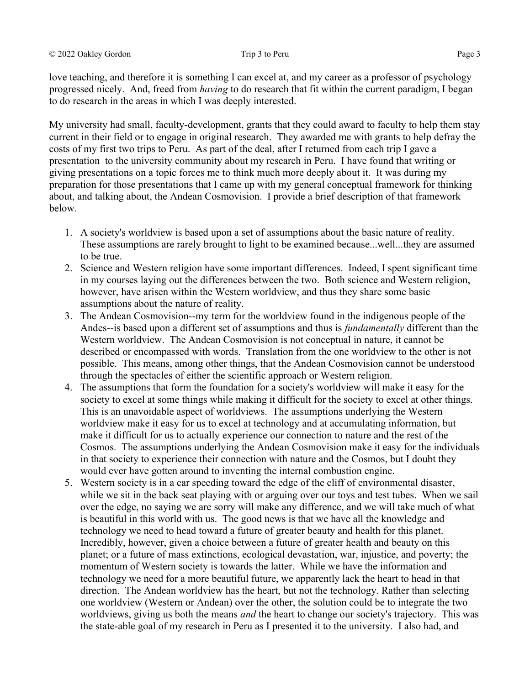love teaching, and therefore it is something I can excel at, and my career as a professor of psychology progressed nicely. And, freed from *having* to do research that fit within the current paradigm, I began to do research in the areas in which I was deeply interested.

My university had small, faculty-development, grants that they could award to faculty to help them stay current in their field or to engage in original research. They awarded me with grants to help defray the costs of my first two trips to Peru. As part of the deal, after I returned from each trip I gave a presentation to the university community about my research in Peru. I have found that writing or giving presentations on a topic forces me to think much more deeply about it. It was during my preparation for those presentations that I came up with my general conceptual framework for thinking about, and talking about, the Andean Cosmovision. I provide a brief description of that framework below.

- 1. A society's worldview is based upon a set of assumptions about the basic nature of reality. These assumptions are rarely brought to light to be examined because...well...they are assumed to be true.
- 2. Science and Western religion have some important differences. Indeed, I spent significant time in my courses laying out the differences between the two. Both science and Western religion, however, have arisen within the Western worldview, and thus they share some basic assumptions about the nature of reality.
- 3. The Andean Cosmovision--my term for the worldview found in the indigenous people of the Andes--is based upon a different set of assumptions and thus is *fundamentally* different than the Western worldview. The Andean Cosmovision is not conceptual in nature, it cannot be described or encompassed with words. Translation from the one worldview to the other is not possible. This means, among other things, that the Andean Cosmovision cannot be understood through the spectacles of either the scientific approach or Western religion.
- 4. The assumptions that form the foundation for a society's worldview will make it easy for the society to excel at some things while making it difficult for the society to excel at other things. This is an unavoidable aspect of worldviews. The assumptions underlying the Western worldview make it easy for us to excel at technology and at accumulating information, but make it difficult for us to actually experience our connection to nature and the rest of the Cosmos. The assumptions underlying the Andean Cosmovision make it easy for the individuals in that society to experience their connection with nature and the Cosmos, but I doubt they would ever have gotten around to inventing the internal combustion engine.
- 5. Western society is in a car speeding toward the edge of the cliff of environmental disaster, while we sit in the back seat playing with or arguing over our toys and test tubes. When we sail over the edge, no saying we are sorry will make any difference, and we will take much of what is beautiful in this world with us. The good news is that we have all the knowledge and technology we need to head toward a future of greater beauty and health for this planet. Incredibly, however, given a choice between a future of greater health and beauty on this planet; or a future of mass extinctions, ecological devastation, war, injustice, and poverty; the momentum of Western society is towards the latter. While we have the information and technology we need for a more beautiful future, we apparently lack the heart to head in that direction. The Andean worldview has the heart, but not the technology. Rather than selecting one worldview (Western or Andean) over the other, the solution could be to integrate the two worldviews, giving us both the means *and* the heart to change our society's trajectory. This was the state-able goal of my research in Peru as I presented it to the university. I also had, and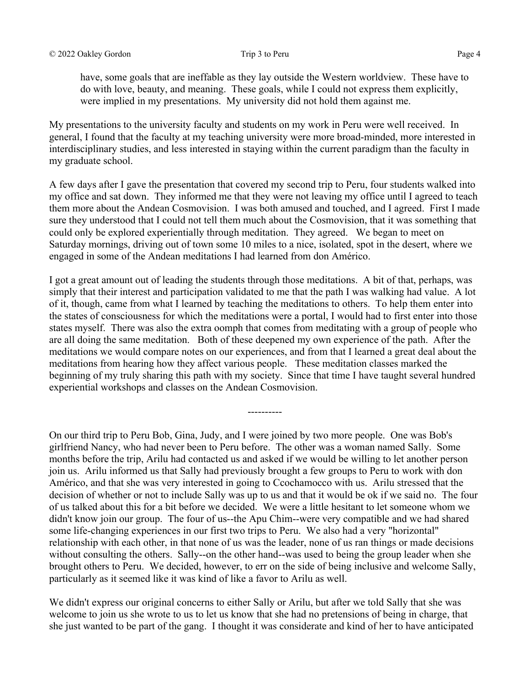have, some goals that are ineffable as they lay outside the Western worldview. These have to do with love, beauty, and meaning. These goals, while I could not express them explicitly, were implied in my presentations. My university did not hold them against me.

My presentations to the university faculty and students on my work in Peru were well received. In general, I found that the faculty at my teaching university were more broad-minded, more interested in interdisciplinary studies, and less interested in staying within the current paradigm than the faculty in my graduate school.

A few days after I gave the presentation that covered my second trip to Peru, four students walked into my office and sat down. They informed me that they were not leaving my office until I agreed to teach them more about the Andean Cosmovision. I was both amused and touched, and I agreed. First I made sure they understood that I could not tell them much about the Cosmovision, that it was something that could only be explored experientially through meditation. They agreed. We began to meet on Saturday mornings, driving out of town some 10 miles to a nice, isolated, spot in the desert, where we engaged in some of the Andean meditations I had learned from don Américo.

I got a great amount out of leading the students through those meditations. A bit of that, perhaps, was simply that their interest and participation validated to me that the path I was walking had value. A lot of it, though, came from what I learned by teaching the meditations to others. To help them enter into the states of consciousness for which the meditations were a portal, I would had to first enter into those states myself. There was also the extra oomph that comes from meditating with a group of people who are all doing the same meditation. Both of these deepened my own experience of the path. After the meditations we would compare notes on our experiences, and from that I learned a great deal about the meditations from hearing how they affect various people. These meditation classes marked the beginning of my truly sharing this path with my society. Since that time I have taught several hundred experiential workshops and classes on the Andean Cosmovision.

----------

On our third trip to Peru Bob, Gina, Judy, and I were joined by two more people. One was Bob's girlfriend Nancy, who had never been to Peru before. The other was a woman named Sally. Some months before the trip, Arilu had contacted us and asked if we would be willing to let another person join us. Arilu informed us that Sally had previously brought a few groups to Peru to work with don Américo, and that she was very interested in going to Ccochamocco with us. Arilu stressed that the decision of whether or not to include Sally was up to us and that it would be ok if we said no. The four of us talked about this for a bit before we decided. We were a little hesitant to let someone whom we didn't know join our group. The four of us--the Apu Chim--were very compatible and we had shared some life-changing experiences in our first two trips to Peru. We also had a very "horizontal" relationship with each other, in that none of us was the leader, none of us ran things or made decisions without consulting the others. Sally--on the other hand--was used to being the group leader when she brought others to Peru. We decided, however, to err on the side of being inclusive and welcome Sally, particularly as it seemed like it was kind of like a favor to Arilu as well.

We didn't express our original concerns to either Sally or Arilu, but after we told Sally that she was welcome to join us she wrote to us to let us know that she had no pretensions of being in charge, that she just wanted to be part of the gang. I thought it was considerate and kind of her to have anticipated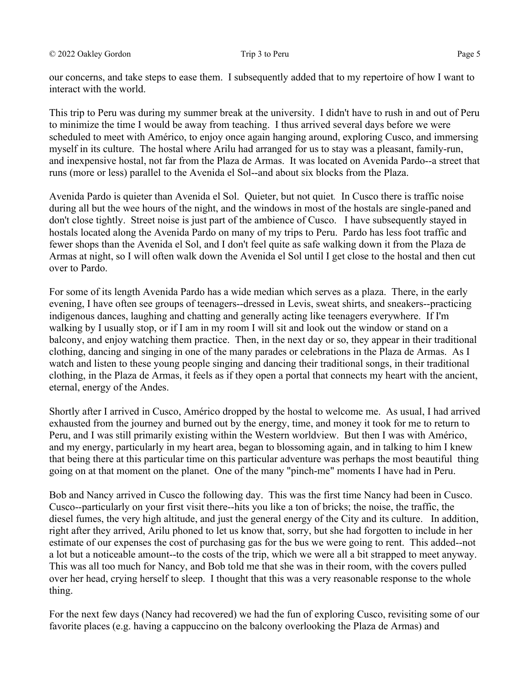our concerns, and take steps to ease them. I subsequently added that to my repertoire of how I want to interact with the world.

This trip to Peru was during my summer break at the university. I didn't have to rush in and out of Peru to minimize the time I would be away from teaching. I thus arrived several days before we were scheduled to meet with Américo, to enjoy once again hanging around, exploring Cusco, and immersing myself in its culture. The hostal where Arilu had arranged for us to stay was a pleasant, family-run, and inexpensive hostal, not far from the Plaza de Armas. It was located on Avenida Pardo--a street that runs (more or less) parallel to the Avenida el Sol--and about six blocks from the Plaza.

Avenida Pardo is quieter than Avenida el Sol. Quieter, but not quiet*.* In Cusco there is traffic noise during all but the wee hours of the night, and the windows in most of the hostals are single-paned and don't close tightly. Street noise is just part of the ambience of Cusco. I have subsequently stayed in hostals located along the Avenida Pardo on many of my trips to Peru. Pardo has less foot traffic and fewer shops than the Avenida el Sol, and I don't feel quite as safe walking down it from the Plaza de Armas at night, so I will often walk down the Avenida el Sol until I get close to the hostal and then cut over to Pardo.

For some of its length Avenida Pardo has a wide median which serves as a plaza. There, in the early evening, I have often see groups of teenagers--dressed in Levis, sweat shirts, and sneakers--practicing indigenous dances, laughing and chatting and generally acting like teenagers everywhere. If I'm walking by I usually stop, or if I am in my room I will sit and look out the window or stand on a balcony, and enjoy watching them practice. Then, in the next day or so, they appear in their traditional clothing, dancing and singing in one of the many parades or celebrations in the Plaza de Armas. As I watch and listen to these young people singing and dancing their traditional songs, in their traditional clothing, in the Plaza de Armas, it feels as if they open a portal that connects my heart with the ancient, eternal, energy of the Andes.

Shortly after I arrived in Cusco, Américo dropped by the hostal to welcome me. As usual, I had arrived exhausted from the journey and burned out by the energy, time, and money it took for me to return to Peru, and I was still primarily existing within the Western worldview. But then I was with Américo, and my energy, particularly in my heart area, began to blossoming again, and in talking to him I knew that being there at this particular time on this particular adventure was perhaps the most beautiful thing going on at that moment on the planet. One of the many "pinch-me" moments I have had in Peru.

Bob and Nancy arrived in Cusco the following day. This was the first time Nancy had been in Cusco. Cusco--particularly on your first visit there--hits you like a ton of bricks; the noise, the traffic, the diesel fumes, the very high altitude, and just the general energy of the City and its culture. In addition, right after they arrived, Arilu phoned to let us know that, sorry, but she had forgotten to include in her estimate of our expenses the cost of purchasing gas for the bus we were going to rent. This added--not a lot but a noticeable amount--to the costs of the trip, which we were all a bit strapped to meet anyway. This was all too much for Nancy, and Bob told me that she was in their room, with the covers pulled over her head, crying herself to sleep. I thought that this was a very reasonable response to the whole thing.

For the next few days (Nancy had recovered) we had the fun of exploring Cusco, revisiting some of our favorite places (e.g. having a cappuccino on the balcony overlooking the Plaza de Armas) and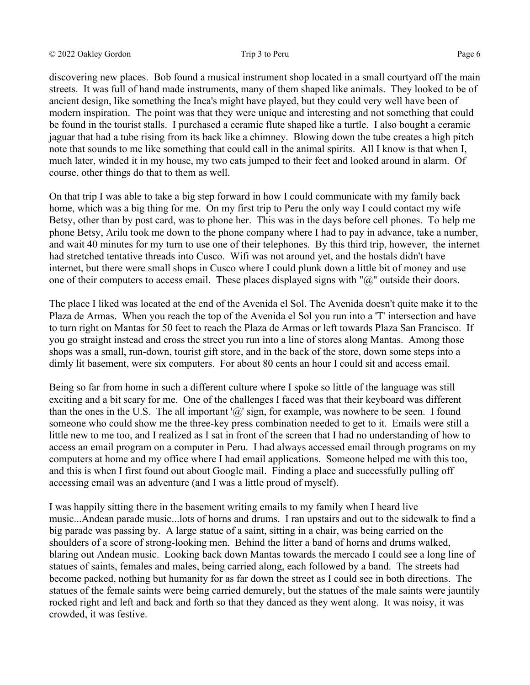discovering new places. Bob found a musical instrument shop located in a small courtyard off the main streets. It was full of hand made instruments, many of them shaped like animals. They looked to be of ancient design, like something the Inca's might have played, but they could very well have been of modern inspiration. The point was that they were unique and interesting and not something that could be found in the tourist stalls. I purchased a ceramic flute shaped like a turtle. I also bought a ceramic jaguar that had a tube rising from its back like a chimney. Blowing down the tube creates a high pitch note that sounds to me like something that could call in the animal spirits. All I know is that when I, much later, winded it in my house, my two cats jumped to their feet and looked around in alarm. Of course, other things do that to them as well.

On that trip I was able to take a big step forward in how I could communicate with my family back home, which was a big thing for me. On my first trip to Peru the only way I could contact my wife Betsy, other than by post card, was to phone her. This was in the days before cell phones. To help me phone Betsy, Arilu took me down to the phone company where I had to pay in advance, take a number, and wait 40 minutes for my turn to use one of their telephones. By this third trip, however, the internet had stretched tentative threads into Cusco. Wifi was not around yet, and the hostals didn't have internet, but there were small shops in Cusco where I could plunk down a little bit of money and use one of their computers to access email. These places displayed signs with " $@$ " outside their doors.

The place I liked was located at the end of the Avenida el Sol. The Avenida doesn't quite make it to the Plaza de Armas. When you reach the top of the Avenida el Sol you run into a 'T' intersection and have to turn right on Mantas for 50 feet to reach the Plaza de Armas or left towards Plaza San Francisco. If you go straight instead and cross the street you run into a line of stores along Mantas. Among those shops was a small, run-down, tourist gift store, and in the back of the store, down some steps into a dimly lit basement, were six computers. For about 80 cents an hour I could sit and access email.

Being so far from home in such a different culture where I spoke so little of the language was still exciting and a bit scary for me. One of the challenges I faced was that their keyboard was different than the ones in the U.S. The all important ' $\omega$ ' sign, for example, was nowhere to be seen. I found someone who could show me the three-key press combination needed to get to it. Emails were still a little new to me too, and I realized as I sat in front of the screen that I had no understanding of how to access an email program on a computer in Peru. I had always accessed email through programs on my computers at home and my office where I had email applications. Someone helped me with this too, and this is when I first found out about Google mail. Finding a place and successfully pulling off accessing email was an adventure (and I was a little proud of myself).

I was happily sitting there in the basement writing emails to my family when I heard live music...Andean parade music...lots of horns and drums. I ran upstairs and out to the sidewalk to find a big parade was passing by. A large statue of a saint, sitting in a chair, was being carried on the shoulders of a score of strong-looking men. Behind the litter a band of horns and drums walked, blaring out Andean music. Looking back down Mantas towards the mercado I could see a long line of statues of saints, females and males, being carried along, each followed by a band. The streets had become packed, nothing but humanity for as far down the street as I could see in both directions. The statues of the female saints were being carried demurely, but the statues of the male saints were jauntily rocked right and left and back and forth so that they danced as they went along. It was noisy, it was crowded, it was festive.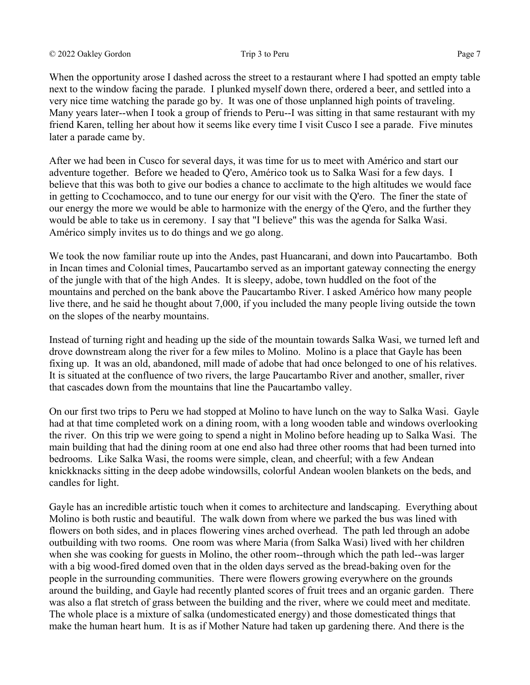### © 2022 Oakley Gordon Trip 3 to Peru Page 7

When the opportunity arose I dashed across the street to a restaurant where I had spotted an empty table next to the window facing the parade. I plunked myself down there, ordered a beer, and settled into a very nice time watching the parade go by. It was one of those unplanned high points of traveling. Many years later--when I took a group of friends to Peru--I was sitting in that same restaurant with my friend Karen, telling her about how it seems like every time I visit Cusco I see a parade. Five minutes later a parade came by.

After we had been in Cusco for several days, it was time for us to meet with Américo and start our adventure together. Before we headed to Q'ero, Américo took us to Salka Wasi for a few days. I believe that this was both to give our bodies a chance to acclimate to the high altitudes we would face in getting to Ccochamocco, and to tune our energy for our visit with the Q'ero. The finer the state of our energy the more we would be able to harmonize with the energy of the Q'ero, and the further they would be able to take us in ceremony. I say that "I believe" this was the agenda for Salka Wasi. Américo simply invites us to do things and we go along.

We took the now familiar route up into the Andes, past Huancarani, and down into Paucartambo. Both in Incan times and Colonial times, Paucartambo served as an important gateway connecting the energy of the jungle with that of the high Andes. It is sleepy, adobe, town huddled on the foot of the mountains and perched on the bank above the Paucartambo River. I asked Américo how many people live there, and he said he thought about 7,000, if you included the many people living outside the town on the slopes of the nearby mountains.

Instead of turning right and heading up the side of the mountain towards Salka Wasi, we turned left and drove downstream along the river for a few miles to Molino. Molino is a place that Gayle has been fixing up. It was an old, abandoned, mill made of adobe that had once belonged to one of his relatives. It is situated at the confluence of two rivers, the large Paucartambo River and another, smaller, river that cascades down from the mountains that line the Paucartambo valley.

On our first two trips to Peru we had stopped at Molino to have lunch on the way to Salka Wasi. Gayle had at that time completed work on a dining room, with a long wooden table and windows overlooking the river. On this trip we were going to spend a night in Molino before heading up to Salka Wasi. The main building that had the dining room at one end also had three other rooms that had been turned into bedrooms. Like Salka Wasi, the rooms were simple, clean, and cheerful; with a few Andean knickknacks sitting in the deep adobe windowsills, colorful Andean woolen blankets on the beds, and candles for light.

Gayle has an incredible artistic touch when it comes to architecture and landscaping. Everything about Molino is both rustic and beautiful. The walk down from where we parked the bus was lined with flowers on both sides, and in places flowering vines arched overhead. The path led through an adobe outbuilding with two rooms. One room was where Maria (from Salka Wasi) lived with her children when she was cooking for guests in Molino, the other room--through which the path led--was larger with a big wood-fired domed oven that in the olden days served as the bread-baking oven for the people in the surrounding communities. There were flowers growing everywhere on the grounds around the building, and Gayle had recently planted scores of fruit trees and an organic garden. There was also a flat stretch of grass between the building and the river, where we could meet and meditate. The whole place is a mixture of salka (undomesticated energy) and those domesticated things that make the human heart hum. It is as if Mother Nature had taken up gardening there. And there is the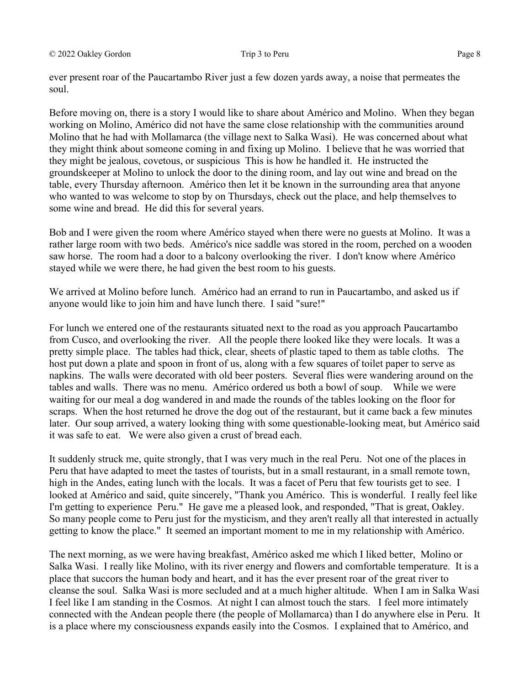ever present roar of the Paucartambo River just a few dozen yards away, a noise that permeates the soul.

Before moving on, there is a story I would like to share about Américo and Molino. When they began working on Molino, Américo did not have the same close relationship with the communities around Molino that he had with Mollamarca (the village next to Salka Wasi). He was concerned about what they might think about someone coming in and fixing up Molino. I believe that he was worried that they might be jealous, covetous, or suspicious This is how he handled it. He instructed the groundskeeper at Molino to unlock the door to the dining room, and lay out wine and bread on the table, every Thursday afternoon. Américo then let it be known in the surrounding area that anyone who wanted to was welcome to stop by on Thursdays, check out the place, and help themselves to some wine and bread. He did this for several years.

Bob and I were given the room where Américo stayed when there were no guests at Molino. It was a rather large room with two beds. Américo's nice saddle was stored in the room, perched on a wooden saw horse. The room had a door to a balcony overlooking the river. I don't know where Américo stayed while we were there, he had given the best room to his guests.

We arrived at Molino before lunch. Américo had an errand to run in Paucartambo, and asked us if anyone would like to join him and have lunch there. I said "sure!"

For lunch we entered one of the restaurants situated next to the road as you approach Paucartambo from Cusco, and overlooking the river. All the people there looked like they were locals. It was a pretty simple place. The tables had thick, clear, sheets of plastic taped to them as table cloths. The host put down a plate and spoon in front of us, along with a few squares of toilet paper to serve as napkins. The walls were decorated with old beer posters. Several flies were wandering around on the tables and walls. There was no menu. Américo ordered us both a bowl of soup. While we were waiting for our meal a dog wandered in and made the rounds of the tables looking on the floor for scraps. When the host returned he drove the dog out of the restaurant, but it came back a few minutes later. Our soup arrived, a watery looking thing with some questionable-looking meat, but Américo said it was safe to eat. We were also given a crust of bread each.

It suddenly struck me, quite strongly, that I was very much in the real Peru. Not one of the places in Peru that have adapted to meet the tastes of tourists, but in a small restaurant, in a small remote town, high in the Andes, eating lunch with the locals. It was a facet of Peru that few tourists get to see. I looked at Américo and said, quite sincerely, "Thank you Américo. This is wonderful. I really feel like I'm getting to experience Peru." He gave me a pleased look, and responded, "That is great, Oakley. So many people come to Peru just for the mysticism, and they aren't really all that interested in actually getting to know the place." It seemed an important moment to me in my relationship with Américo.

The next morning, as we were having breakfast, Américo asked me which I liked better, Molino or Salka Wasi. I really like Molino, with its river energy and flowers and comfortable temperature. It is a place that succors the human body and heart, and it has the ever present roar of the great river to cleanse the soul. Salka Wasi is more secluded and at a much higher altitude. When I am in Salka Wasi I feel like I am standing in the Cosmos. At night I can almost touch the stars. I feel more intimately connected with the Andean people there (the people of Mollamarca) than I do anywhere else in Peru. It is a place where my consciousness expands easily into the Cosmos. I explained that to Américo, and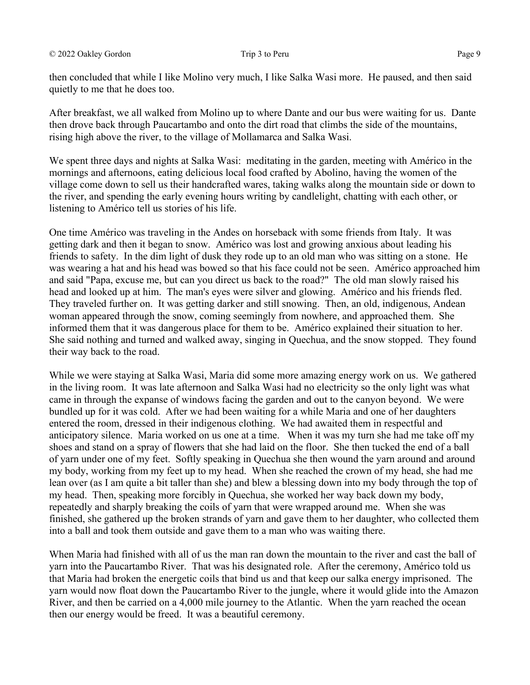then concluded that while I like Molino very much, I like Salka Wasi more. He paused, and then said quietly to me that he does too.

After breakfast, we all walked from Molino up to where Dante and our bus were waiting for us. Dante then drove back through Paucartambo and onto the dirt road that climbs the side of the mountains, rising high above the river, to the village of Mollamarca and Salka Wasi.

We spent three days and nights at Salka Wasi: meditating in the garden, meeting with Américo in the mornings and afternoons, eating delicious local food crafted by Abolino, having the women of the village come down to sell us their handcrafted wares, taking walks along the mountain side or down to the river, and spending the early evening hours writing by candlelight, chatting with each other, or listening to Américo tell us stories of his life.

One time Américo was traveling in the Andes on horseback with some friends from Italy. It was getting dark and then it began to snow. Américo was lost and growing anxious about leading his friends to safety. In the dim light of dusk they rode up to an old man who was sitting on a stone. He was wearing a hat and his head was bowed so that his face could not be seen. Américo approached him and said "Papa, excuse me, but can you direct us back to the road?" The old man slowly raised his head and looked up at him. The man's eyes were silver and glowing. Américo and his friends fled. They traveled further on. It was getting darker and still snowing. Then, an old, indigenous, Andean woman appeared through the snow, coming seemingly from nowhere, and approached them. She informed them that it was dangerous place for them to be. Américo explained their situation to her. She said nothing and turned and walked away, singing in Quechua, and the snow stopped. They found their way back to the road.

While we were staying at Salka Wasi, Maria did some more amazing energy work on us. We gathered in the living room. It was late afternoon and Salka Wasi had no electricity so the only light was what came in through the expanse of windows facing the garden and out to the canyon beyond. We were bundled up for it was cold. After we had been waiting for a while Maria and one of her daughters entered the room, dressed in their indigenous clothing. We had awaited them in respectful and anticipatory silence. Maria worked on us one at a time. When it was my turn she had me take off my shoes and stand on a spray of flowers that she had laid on the floor. She then tucked the end of a ball of yarn under one of my feet. Softly speaking in Quechua she then wound the yarn around and around my body, working from my feet up to my head. When she reached the crown of my head, she had me lean over (as I am quite a bit taller than she) and blew a blessing down into my body through the top of my head. Then, speaking more forcibly in Quechua, she worked her way back down my body, repeatedly and sharply breaking the coils of yarn that were wrapped around me. When she was finished, she gathered up the broken strands of yarn and gave them to her daughter, who collected them into a ball and took them outside and gave them to a man who was waiting there.

When Maria had finished with all of us the man ran down the mountain to the river and cast the ball of yarn into the Paucartambo River. That was his designated role. After the ceremony, Américo told us that Maria had broken the energetic coils that bind us and that keep our salka energy imprisoned. The yarn would now float down the Paucartambo River to the jungle, where it would glide into the Amazon River, and then be carried on a 4,000 mile journey to the Atlantic. When the yarn reached the ocean then our energy would be freed. It was a beautiful ceremony.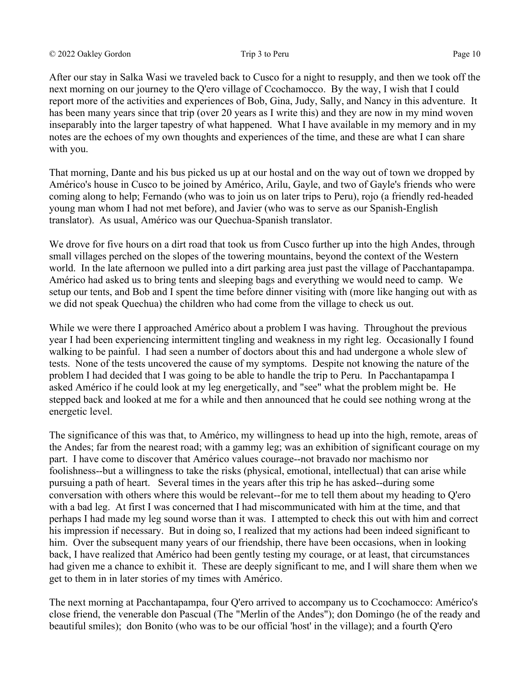After our stay in Salka Wasi we traveled back to Cusco for a night to resupply, and then we took off the next morning on our journey to the Q'ero village of Ccochamocco. By the way, I wish that I could report more of the activities and experiences of Bob, Gina, Judy, Sally, and Nancy in this adventure. It has been many years since that trip (over 20 years as I write this) and they are now in my mind woven inseparably into the larger tapestry of what happened. What I have available in my memory and in my notes are the echoes of my own thoughts and experiences of the time, and these are what I can share with you.

That morning, Dante and his bus picked us up at our hostal and on the way out of town we dropped by Américo's house in Cusco to be joined by Américo, Arilu, Gayle, and two of Gayle's friends who were coming along to help; Fernando (who was to join us on later trips to Peru), rojo (a friendly red-headed young man whom I had not met before), and Javier (who was to serve as our Spanish-English translator). As usual, Américo was our Quechua-Spanish translator.

We drove for five hours on a dirt road that took us from Cusco further up into the high Andes, through small villages perched on the slopes of the towering mountains, beyond the context of the Western world. In the late afternoon we pulled into a dirt parking area just past the village of Pacchantapampa. Américo had asked us to bring tents and sleeping bags and everything we would need to camp. We setup our tents, and Bob and I spent the time before dinner visiting with (more like hanging out with as we did not speak Quechua) the children who had come from the village to check us out.

While we were there I approached Américo about a problem I was having. Throughout the previous year I had been experiencing intermittent tingling and weakness in my right leg. Occasionally I found walking to be painful. I had seen a number of doctors about this and had undergone a whole slew of tests. None of the tests uncovered the cause of my symptoms. Despite not knowing the nature of the problem I had decided that I was going to be able to handle the trip to Peru. In Pacchantapampa I asked Américo if he could look at my leg energetically, and "see" what the problem might be. He stepped back and looked at me for a while and then announced that he could see nothing wrong at the energetic level.

The significance of this was that, to Américo, my willingness to head up into the high, remote, areas of the Andes; far from the nearest road; with a gammy leg; was an exhibition of significant courage on my part. I have come to discover that Américo values courage--not bravado nor machismo nor foolishness--but a willingness to take the risks (physical, emotional, intellectual) that can arise while pursuing a path of heart. Several times in the years after this trip he has asked--during some conversation with others where this would be relevant--for me to tell them about my heading to Q'ero with a bad leg. At first I was concerned that I had miscommunicated with him at the time, and that perhaps I had made my leg sound worse than it was. I attempted to check this out with him and correct his impression if necessary. But in doing so, I realized that my actions had been indeed significant to him. Over the subsequent many years of our friendship, there have been occasions, when in looking back, I have realized that Américo had been gently testing my courage, or at least, that circumstances had given me a chance to exhibit it. These are deeply significant to me, and I will share them when we get to them in in later stories of my times with Américo.

The next morning at Pacchantapampa, four Q'ero arrived to accompany us to Ccochamocco: Américo's close friend, the venerable don Pascual (The "Merlin of the Andes"); don Domingo (he of the ready and beautiful smiles); don Bonito (who was to be our official 'host' in the village); and a fourth Q'ero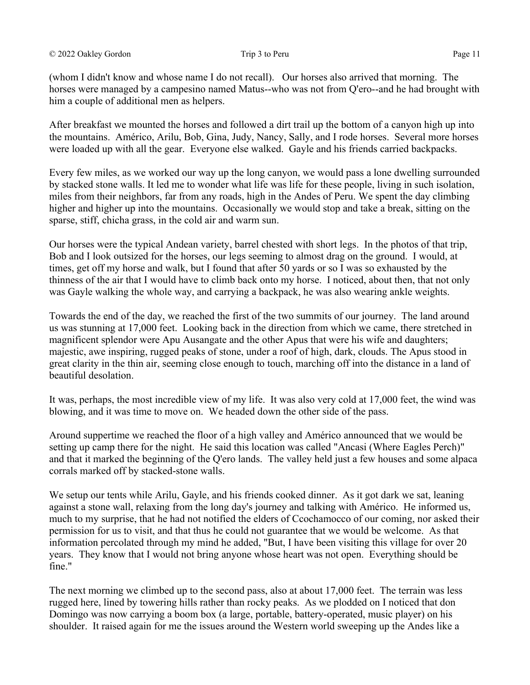(whom I didn't know and whose name I do not recall). Our horses also arrived that morning. The horses were managed by a campesino named Matus--who was not from Q'ero--and he had brought with him a couple of additional men as helpers.

After breakfast we mounted the horses and followed a dirt trail up the bottom of a canyon high up into the mountains. Américo, Arilu, Bob, Gina, Judy, Nancy, Sally, and I rode horses. Several more horses were loaded up with all the gear. Everyone else walked. Gayle and his friends carried backpacks.

Every few miles, as we worked our way up the long canyon, we would pass a lone dwelling surrounded by stacked stone walls. It led me to wonder what life was life for these people, living in such isolation, miles from their neighbors, far from any roads, high in the Andes of Peru. We spent the day climbing higher and higher up into the mountains. Occasionally we would stop and take a break, sitting on the sparse, stiff, chicha grass, in the cold air and warm sun.

Our horses were the typical Andean variety, barrel chested with short legs. In the photos of that trip, Bob and I look outsized for the horses, our legs seeming to almost drag on the ground. I would, at times, get off my horse and walk, but I found that after 50 yards or so I was so exhausted by the thinness of the air that I would have to climb back onto my horse. I noticed, about then, that not only was Gayle walking the whole way, and carrying a backpack, he was also wearing ankle weights.

Towards the end of the day, we reached the first of the two summits of our journey. The land around us was stunning at 17,000 feet. Looking back in the direction from which we came, there stretched in magnificent splendor were Apu Ausangate and the other Apus that were his wife and daughters; majestic, awe inspiring, rugged peaks of stone, under a roof of high, dark, clouds. The Apus stood in great clarity in the thin air, seeming close enough to touch, marching off into the distance in a land of beautiful desolation.

It was, perhaps, the most incredible view of my life. It was also very cold at 17,000 feet, the wind was blowing, and it was time to move on. We headed down the other side of the pass.

Around suppertime we reached the floor of a high valley and Américo announced that we would be setting up camp there for the night. He said this location was called "Ancasi (Where Eagles Perch)" and that it marked the beginning of the Q'ero lands. The valley held just a few houses and some alpaca corrals marked off by stacked-stone walls.

We setup our tents while Arilu, Gayle, and his friends cooked dinner. As it got dark we sat, leaning against a stone wall, relaxing from the long day's journey and talking with Américo. He informed us, much to my surprise, that he had not notified the elders of Ccochamocco of our coming, nor asked their permission for us to visit, and that thus he could not guarantee that we would be welcome. As that information percolated through my mind he added, "But, I have been visiting this village for over 20 years. They know that I would not bring anyone whose heart was not open. Everything should be fine."

The next morning we climbed up to the second pass, also at about 17,000 feet. The terrain was less rugged here, lined by towering hills rather than rocky peaks. As we plodded on I noticed that don Domingo was now carrying a boom box (a large, portable, battery-operated, music player) on his shoulder. It raised again for me the issues around the Western world sweeping up the Andes like a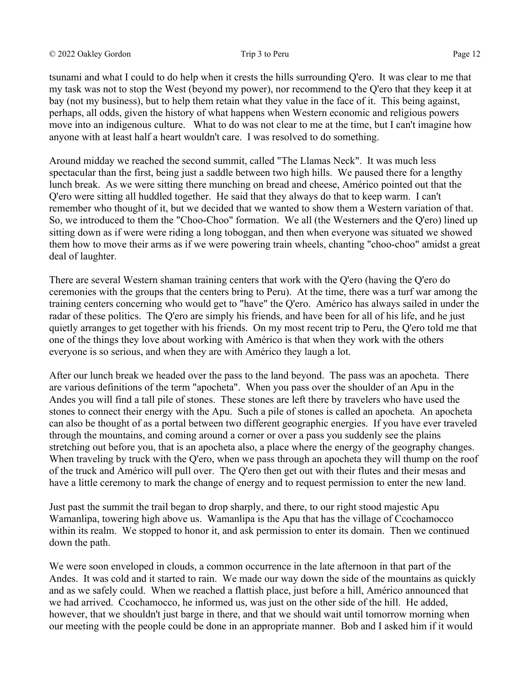tsunami and what I could to do help when it crests the hills surrounding Q'ero. It was clear to me that my task was not to stop the West (beyond my power), nor recommend to the Q'ero that they keep it at bay (not my business), but to help them retain what they value in the face of it. This being against, perhaps, all odds, given the history of what happens when Western economic and religious powers move into an indigenous culture. What to do was not clear to me at the time, but I can't imagine how anyone with at least half a heart wouldn't care. I was resolved to do something.

Around midday we reached the second summit, called "The Llamas Neck". It was much less spectacular than the first, being just a saddle between two high hills. We paused there for a lengthy lunch break. As we were sitting there munching on bread and cheese, Américo pointed out that the Q'ero were sitting all huddled together. He said that they always do that to keep warm. I can't remember who thought of it, but we decided that we wanted to show them a Western variation of that. So, we introduced to them the "Choo-Choo" formation. We all (the Westerners and the Q'ero) lined up sitting down as if were were riding a long toboggan, and then when everyone was situated we showed them how to move their arms as if we were powering train wheels, chanting "choo-choo" amidst a great deal of laughter.

There are several Western shaman training centers that work with the Q'ero (having the Q'ero do ceremonies with the groups that the centers bring to Peru). At the time, there was a turf war among the training centers concerning who would get to "have" the Q'ero. Américo has always sailed in under the radar of these politics. The Q'ero are simply his friends, and have been for all of his life, and he just quietly arranges to get together with his friends. On my most recent trip to Peru, the Q'ero told me that one of the things they love about working with Américo is that when they work with the others everyone is so serious, and when they are with Américo they laugh a lot.

After our lunch break we headed over the pass to the land beyond. The pass was an apocheta. There are various definitions of the term "apocheta". When you pass over the shoulder of an Apu in the Andes you will find a tall pile of stones. These stones are left there by travelers who have used the stones to connect their energy with the Apu. Such a pile of stones is called an apocheta. An apocheta can also be thought of as a portal between two different geographic energies. If you have ever traveled through the mountains, and coming around a corner or over a pass you suddenly see the plains stretching out before you, that is an apocheta also, a place where the energy of the geography changes. When traveling by truck with the Q'ero, when we pass through an apocheta they will thump on the roof of the truck and Américo will pull over. The Q'ero then get out with their flutes and their mesas and have a little ceremony to mark the change of energy and to request permission to enter the new land.

Just past the summit the trail began to drop sharply, and there, to our right stood majestic Apu Wamanlipa, towering high above us. Wamanlipa is the Apu that has the village of Ccochamocco within its realm. We stopped to honor it, and ask permission to enter its domain. Then we continued down the path.

We were soon enveloped in clouds, a common occurrence in the late afternoon in that part of the Andes. It was cold and it started to rain. We made our way down the side of the mountains as quickly and as we safely could. When we reached a flattish place, just before a hill, Américo announced that we had arrived. Ccochamocco, he informed us, was just on the other side of the hill. He added, however, that we shouldn't just barge in there, and that we should wait until tomorrow morning when our meeting with the people could be done in an appropriate manner. Bob and I asked him if it would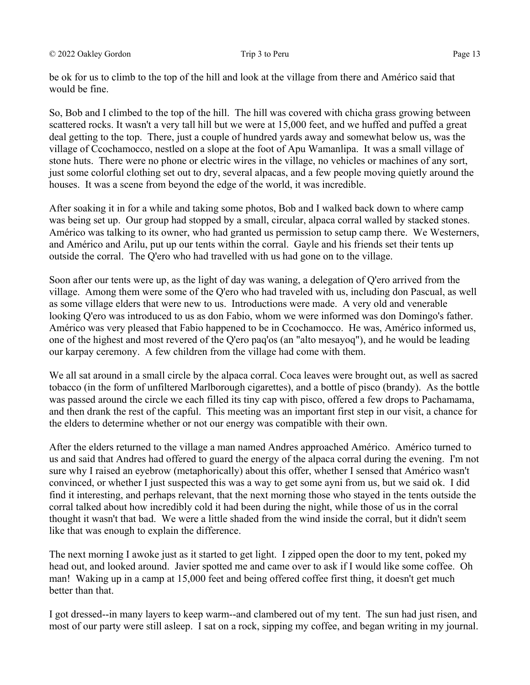be ok for us to climb to the top of the hill and look at the village from there and Américo said that would be fine.

So, Bob and I climbed to the top of the hill. The hill was covered with chicha grass growing between scattered rocks. It wasn't a very tall hill but we were at 15,000 feet, and we huffed and puffed a great deal getting to the top. There, just a couple of hundred yards away and somewhat below us, was the village of Ccochamocco, nestled on a slope at the foot of Apu Wamanlipa. It was a small village of stone huts. There were no phone or electric wires in the village, no vehicles or machines of any sort, just some colorful clothing set out to dry, several alpacas, and a few people moving quietly around the houses. It was a scene from beyond the edge of the world, it was incredible.

After soaking it in for a while and taking some photos, Bob and I walked back down to where camp was being set up. Our group had stopped by a small, circular, alpaca corral walled by stacked stones. Américo was talking to its owner, who had granted us permission to setup camp there. We Westerners, and Américo and Arilu, put up our tents within the corral. Gayle and his friends set their tents up outside the corral. The Q'ero who had travelled with us had gone on to the village.

Soon after our tents were up, as the light of day was waning, a delegation of Q'ero arrived from the village. Among them were some of the Q'ero who had traveled with us, including don Pascual, as well as some village elders that were new to us. Introductions were made. A very old and venerable looking Q'ero was introduced to us as don Fabio, whom we were informed was don Domingo's father. Américo was very pleased that Fabio happened to be in Ccochamocco. He was, Américo informed us, one of the highest and most revered of the Q'ero paq'os (an "alto mesayoq"), and he would be leading our karpay ceremony. A few children from the village had come with them.

We all sat around in a small circle by the alpaca corral. Coca leaves were brought out, as well as sacred tobacco (in the form of unfiltered Marlborough cigarettes), and a bottle of pisco (brandy). As the bottle was passed around the circle we each filled its tiny cap with pisco, offered a few drops to Pachamama, and then drank the rest of the capful. This meeting was an important first step in our visit, a chance for the elders to determine whether or not our energy was compatible with their own.

After the elders returned to the village a man named Andres approached Américo. Américo turned to us and said that Andres had offered to guard the energy of the alpaca corral during the evening. I'm not sure why I raised an eyebrow (metaphorically) about this offer, whether I sensed that Américo wasn't convinced, or whether I just suspected this was a way to get some ayni from us, but we said ok. I did find it interesting, and perhaps relevant, that the next morning those who stayed in the tents outside the corral talked about how incredibly cold it had been during the night, while those of us in the corral thought it wasn't that bad. We were a little shaded from the wind inside the corral, but it didn't seem like that was enough to explain the difference.

The next morning I awoke just as it started to get light. I zipped open the door to my tent, poked my head out, and looked around. Javier spotted me and came over to ask if I would like some coffee. Oh man! Waking up in a camp at 15,000 feet and being offered coffee first thing, it doesn't get much better than that.

I got dressed--in many layers to keep warm--and clambered out of my tent. The sun had just risen, and most of our party were still asleep. I sat on a rock, sipping my coffee, and began writing in my journal.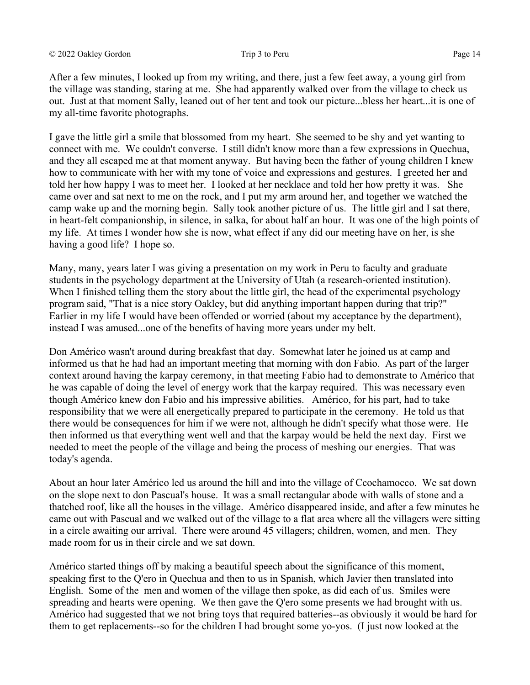After a few minutes, I looked up from my writing, and there, just a few feet away, a young girl from the village was standing, staring at me. She had apparently walked over from the village to check us out. Just at that moment Sally, leaned out of her tent and took our picture...bless her heart...it is one of my all-time favorite photographs.

I gave the little girl a smile that blossomed from my heart. She seemed to be shy and yet wanting to connect with me. We couldn't converse. I still didn't know more than a few expressions in Quechua, and they all escaped me at that moment anyway. But having been the father of young children I knew how to communicate with her with my tone of voice and expressions and gestures. I greeted her and told her how happy I was to meet her. I looked at her necklace and told her how pretty it was. She came over and sat next to me on the rock, and I put my arm around her, and together we watched the camp wake up and the morning begin. Sally took another picture of us. The little girl and I sat there, in heart-felt companionship, in silence, in salka, for about half an hour. It was one of the high points of my life. At times I wonder how she is now, what effect if any did our meeting have on her, is she having a good life? I hope so.

Many, many, years later I was giving a presentation on my work in Peru to faculty and graduate students in the psychology department at the University of Utah (a research-oriented institution). When I finished telling them the story about the little girl, the head of the experimental psychology program said, "That is a nice story Oakley, but did anything important happen during that trip?" Earlier in my life I would have been offended or worried (about my acceptance by the department), instead I was amused...one of the benefits of having more years under my belt.

Don Américo wasn't around during breakfast that day. Somewhat later he joined us at camp and informed us that he had had an important meeting that morning with don Fabio. As part of the larger context around having the karpay ceremony, in that meeting Fabio had to demonstrate to Américo that he was capable of doing the level of energy work that the karpay required. This was necessary even though Américo knew don Fabio and his impressive abilities. Américo, for his part, had to take responsibility that we were all energetically prepared to participate in the ceremony. He told us that there would be consequences for him if we were not, although he didn't specify what those were. He then informed us that everything went well and that the karpay would be held the next day. First we needed to meet the people of the village and being the process of meshing our energies. That was today's agenda.

About an hour later Américo led us around the hill and into the village of Ccochamocco. We sat down on the slope next to don Pascual's house. It was a small rectangular abode with walls of stone and a thatched roof, like all the houses in the village. Américo disappeared inside, and after a few minutes he came out with Pascual and we walked out of the village to a flat area where all the villagers were sitting in a circle awaiting our arrival. There were around 45 villagers; children, women, and men. They made room for us in their circle and we sat down.

Américo started things off by making a beautiful speech about the significance of this moment, speaking first to the Q'ero in Quechua and then to us in Spanish, which Javier then translated into English. Some of the men and women of the village then spoke, as did each of us. Smiles were spreading and hearts were opening. We then gave the Q'ero some presents we had brought with us. Américo had suggested that we not bring toys that required batteries--as obviously it would be hard for them to get replacements--so for the children I had brought some yo-yos. (I just now looked at the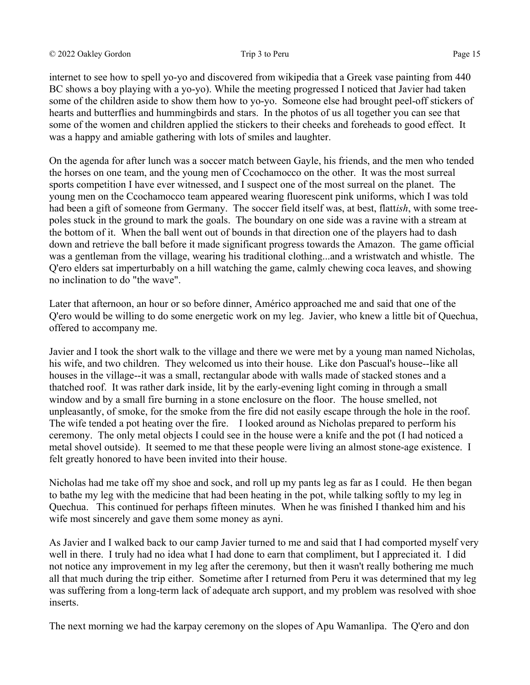internet to see how to spell yo-yo and discovered from wikipedia that a Greek vase painting from 440 BC shows a boy playing with a yo-yo). While the meeting progressed I noticed that Javier had taken some of the children aside to show them how to yo-yo. Someone else had brought peel-off stickers of hearts and butterflies and hummingbirds and stars. In the photos of us all together you can see that some of the women and children applied the stickers to their cheeks and foreheads to good effect. It was a happy and amiable gathering with lots of smiles and laughter.

On the agenda for after lunch was a soccer match between Gayle, his friends, and the men who tended the horses on one team, and the young men of Ccochamocco on the other. It was the most surreal sports competition I have ever witnessed, and I suspect one of the most surreal on the planet. The young men on the Ccochamocco team appeared wearing fluorescent pink uniforms, which I was told had been a gift of someone from Germany. The soccer field itself was, at best, flatt*ish*, with some treepoles stuck in the ground to mark the goals. The boundary on one side was a ravine with a stream at the bottom of it. When the ball went out of bounds in that direction one of the players had to dash down and retrieve the ball before it made significant progress towards the Amazon. The game official was a gentleman from the village, wearing his traditional clothing...and a wristwatch and whistle. The Q'ero elders sat imperturbably on a hill watching the game, calmly chewing coca leaves, and showing no inclination to do "the wave".

Later that afternoon, an hour or so before dinner, Américo approached me and said that one of the Q'ero would be willing to do some energetic work on my leg. Javier, who knew a little bit of Quechua, offered to accompany me.

Javier and I took the short walk to the village and there we were met by a young man named Nicholas, his wife, and two children. They welcomed us into their house. Like don Pascual's house--like all houses in the village--it was a small, rectangular abode with walls made of stacked stones and a thatched roof. It was rather dark inside, lit by the early-evening light coming in through a small window and by a small fire burning in a stone enclosure on the floor. The house smelled, not unpleasantly, of smoke, for the smoke from the fire did not easily escape through the hole in the roof. The wife tended a pot heating over the fire. I looked around as Nicholas prepared to perform his ceremony. The only metal objects I could see in the house were a knife and the pot (I had noticed a metal shovel outside). It seemed to me that these people were living an almost stone-age existence. I felt greatly honored to have been invited into their house.

Nicholas had me take off my shoe and sock, and roll up my pants leg as far as I could. He then began to bathe my leg with the medicine that had been heating in the pot, while talking softly to my leg in Quechua. This continued for perhaps fifteen minutes. When he was finished I thanked him and his wife most sincerely and gave them some money as ayni.

As Javier and I walked back to our camp Javier turned to me and said that I had comported myself very well in there. I truly had no idea what I had done to earn that compliment, but I appreciated it. I did not notice any improvement in my leg after the ceremony, but then it wasn't really bothering me much all that much during the trip either. Sometime after I returned from Peru it was determined that my leg was suffering from a long-term lack of adequate arch support, and my problem was resolved with shoe inserts.

The next morning we had the karpay ceremony on the slopes of Apu Wamanlipa. The Q'ero and don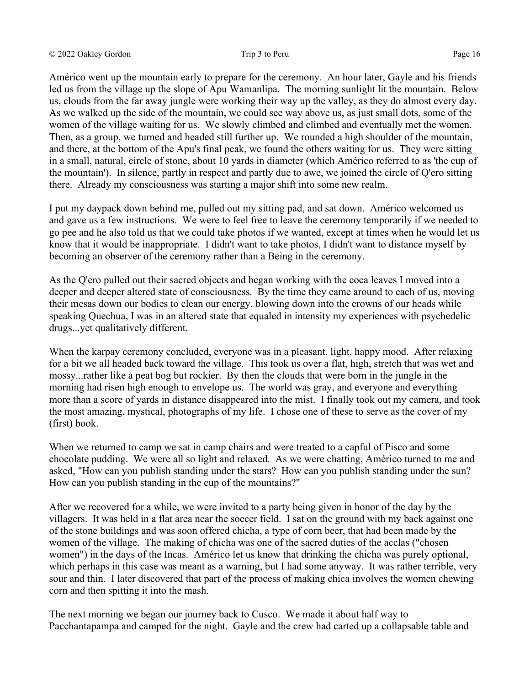Américo went up the mountain early to prepare for the ceremony. An hour later, Gayle and his friends led us from the village up the slope of Apu Wamanlipa. The morning sunlight lit the mountain. Below us, clouds from the far away jungle were working their way up the valley, as they do almost every day. As we walked up the side of the mountain, we could see way above us, as just small dots, some of the women of the village waiting for us. We slowly climbed and climbed and eventually met the women. Then, as a group, we turned and headed still further up. We rounded a high shoulder of the mountain, and there, at the bottom of the Apu's final peak, we found the others waiting for us. They were sitting in a small, natural, circle of stone, about 10 yards in diameter (which Américo referred to as 'the cup of the mountain'). In silence, partly in respect and partly due to awe, we joined the circle of Q'ero sitting there. Already my consciousness was starting a major shift into some new realm.

I put my daypack down behind me, pulled out my sitting pad, and sat down. Américo welcomed us and gave us a few instructions. We were to feel free to leave the ceremony temporarily if we needed to go pee and he also told us that we could take photos if we wanted, except at times when he would let us know that it would be inappropriate. I didn't want to take photos, I didn't want to distance myself by becoming an observer of the ceremony rather than a Being in the ceremony.

As the Q'ero pulled out their sacred objects and began working with the coca leaves I moved into a deeper and deeper altered state of consciousness. By the time they came around to each of us, moving their mesas down our bodies to clean our energy, blowing down into the crowns of our heads while speaking Quechua, I was in an altered state that equaled in intensity my experiences with psychedelic drugs...yet qualitatively different.

When the karpay ceremony concluded, everyone was in a pleasant, light, happy mood. After relaxing for a bit we all headed back toward the village. This took us over a flat, high, stretch that was wet and mossy...rather like a peat bog but rockier. By then the clouds that were born in the jungle in the morning had risen high enough to envelope us. The world was gray, and everyone and everything more than a score of yards in distance disappeared into the mist. I finally took out my camera, and took the most amazing, mystical, photographs of my life. I chose one of these to serve as the cover of my (first) book.

When we returned to camp we sat in camp chairs and were treated to a capful of Pisco and some chocolate pudding. We were all so light and relaxed. As we were chatting, Américo turned to me and asked, "How can you publish standing under the stars? How can you publish standing under the sun? How can you publish standing in the cup of the mountains?"

After we recovered for a while, we were invited to a party being given in honor of the day by the villagers. It was held in a flat area near the soccer field. I sat on the ground with my back against one of the stone buildings and was soon offered chicha, a type of corn beer, that had been made by the women of the village. The making of chicha was one of the sacred duties of the acclas ("chosen women") in the days of the Incas. Américo let us know that drinking the chicha was purely optional, which perhaps in this case was meant as a warning, but I had some anyway. It was rather terrible, very sour and thin. I later discovered that part of the process of making chica involves the women chewing corn and then spitting it into the mash.

The next morning we began our journey back to Cusco. We made it about half way to Pacchantapampa and camped for the night. Gayle and the crew had carted up a collapsable table and